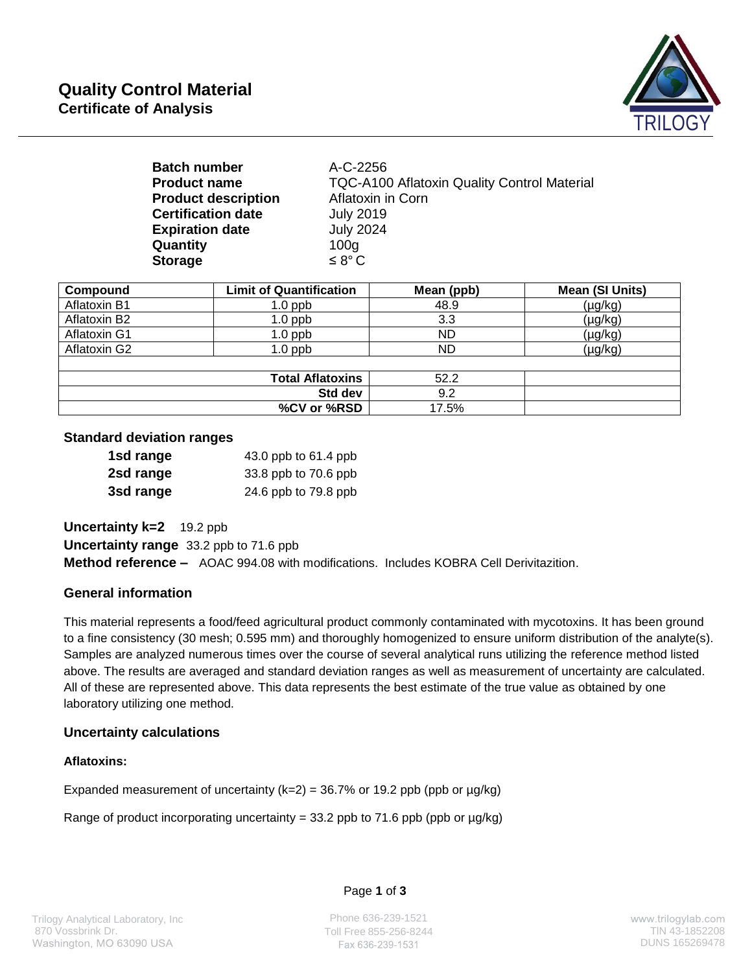

| A-C-2256                                           |
|----------------------------------------------------|
| <b>TQC-A100 Aflatoxin Quality Control Material</b> |
| Aflatoxin in Corn                                  |
| <b>July 2019</b>                                   |
| <b>July 2024</b>                                   |
| 100 <sub>g</sub>                                   |
| $\leq 8^{\circ}$ C                                 |
|                                                    |

| Compound            | <b>Limit of Quantification</b> | Mean (ppb) | Mean (SI Units) |
|---------------------|--------------------------------|------------|-----------------|
| <b>Aflatoxin B1</b> | $1.0$ ppb                      | 48.9       | $(\mu g/kg)$    |
| Aflatoxin B2        | $1.0$ ppb                      | 3.3        | (µg/kg)         |
| Aflatoxin G1        | $1.0$ ppb                      | <b>ND</b>  | $(\mu g/kg)$    |
| Aflatoxin G2        | $1.0$ ppb                      | ND         | (µg/kg)         |
|                     |                                |            |                 |
|                     | <b>Total Aflatoxins</b>        | 52.2       |                 |
|                     | Std dev                        | 9.2        |                 |
|                     | %CV or %RSD                    | 17.5%      |                 |

### **Standard deviation ranges**

| 1sd range | 43.0 ppb to 61.4 ppb |
|-----------|----------------------|
| 2sd range | 33.8 ppb to 70.6 ppb |
| 3sd range | 24.6 ppb to 79.8 ppb |

**Uncertainty k=2** 19.2 ppb

**Uncertainty range** 33.2 ppb to 71.6 ppb

**Method reference –** AOAC 994.08 with modifications. Includes KOBRA Cell Derivitazition.

#### **General information**

This material represents a food/feed agricultural product commonly contaminated with mycotoxins. It has been ground to a fine consistency (30 mesh; 0.595 mm) and thoroughly homogenized to ensure uniform distribution of the analyte(s). Samples are analyzed numerous times over the course of several analytical runs utilizing the reference method listed above. The results are averaged and standard deviation ranges as well as measurement of uncertainty are calculated. All of these are represented above. This data represents the best estimate of the true value as obtained by one laboratory utilizing one method.

#### **Uncertainty calculations**

#### **Aflatoxins:**

Expanded measurement of uncertainty  $(k=2) = 36.7%$  or 19.2 ppb (ppb or  $\mu$ g/kg)

Range of product incorporating uncertainty = 33.2 ppb to 71.6 ppb (ppb or  $\mu$ g/kg)

#### Page **1** of **3**

Phone 636-239-1521 Toll Free 855-256-8244 TIN 43-1852208<br>Fax 636-239-1531 TIN 43-185269478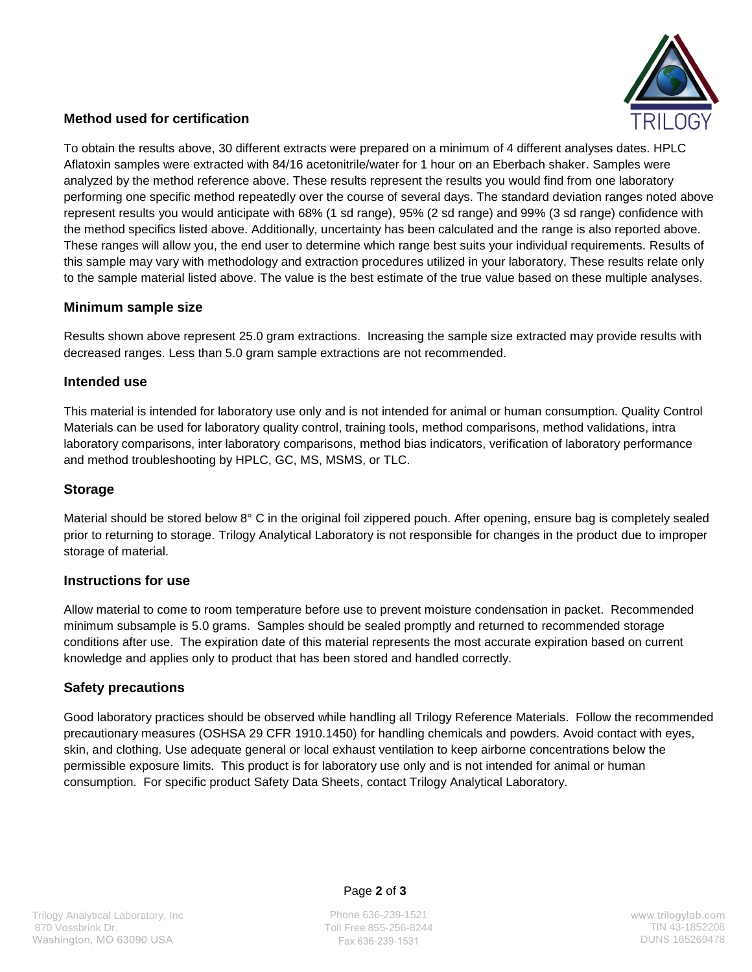

# **Method used for certification**

To obtain the results above, 30 different extracts were prepared on a minimum of 4 different analyses dates. HPLC Aflatoxin samples were extracted with 84/16 acetonitrile/water for 1 hour on an Eberbach shaker. Samples were analyzed by the method reference above. These results represent the results you would find from one laboratory performing one specific method repeatedly over the course of several days. The standard deviation ranges noted above represent results you would anticipate with 68% (1 sd range), 95% (2 sd range) and 99% (3 sd range) confidence with the method specifics listed above. Additionally, uncertainty has been calculated and the range is also reported above. These ranges will allow you, the end user to determine which range best suits your individual requirements. Results of this sample may vary with methodology and extraction procedures utilized in your laboratory. These results relate only to the sample material listed above. The value is the best estimate of the true value based on these multiple analyses.

# **Minimum sample size**

Results shown above represent 25.0 gram extractions. Increasing the sample size extracted may provide results with decreased ranges. Less than 5.0 gram sample extractions are not recommended.

### **Intended use**

This material is intended for laboratory use only and is not intended for animal or human consumption. Quality Control Materials can be used for laboratory quality control, training tools, method comparisons, method validations, intra laboratory comparisons, inter laboratory comparisons, method bias indicators, verification of laboratory performance and method troubleshooting by HPLC, GC, MS, MSMS, or TLC.

# **Storage**

Material should be stored below 8° C in the original foil zippered pouch. After opening, ensure bag is completely sealed prior to returning to storage. Trilogy Analytical Laboratory is not responsible for changes in the product due to improper storage of material.

# **Instructions for use**

Allow material to come to room temperature before use to prevent moisture condensation in packet. Recommended minimum subsample is 5.0 grams. Samples should be sealed promptly and returned to recommended storage conditions after use. The expiration date of this material represents the most accurate expiration based on current knowledge and applies only to product that has been stored and handled correctly.

# **Safety precautions**

Good laboratory practices should be observed while handling all Trilogy Reference Materials. Follow the recommended precautionary measures (OSHSA 29 CFR 1910.1450) for handling chemicals and powders. Avoid contact with eyes, skin, and clothing. Use adequate general or local exhaust ventilation to keep airborne concentrations below the permissible exposure limits. This product is for laboratory use only and is not intended for animal or human consumption. For specific product Safety Data Sheets, contact Trilogy Analytical Laboratory.

Page **2** of **3**

Phone 636-239-1521 Toll Free 855-256-8244 TlN 43-1852208 Fax 636-239-1531